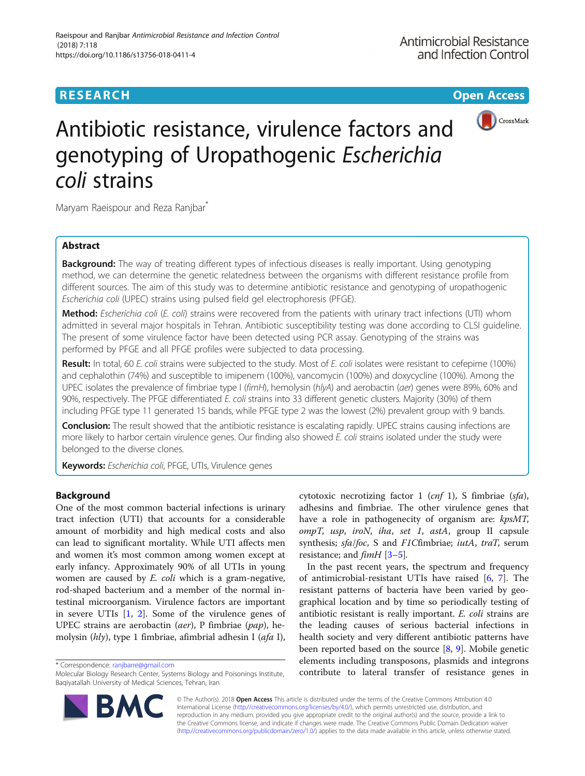# **RESEARCH CHOOSE INTERNATIONAL CONTRACT CONTRACT CONTRACT CONTRACT CONTRACT CONTRACT CONTRACT CONTRACT CONTRACT CONTRACT CONTRACT CONTRACT CONTRACT CONTRACT CONTRACT CONTRACT CONTRACT CONTRACT CONTRACT CONTRACT CONTRACT**



# Antibiotic resistance, virulence factors and genotyping of Uropathogenic Escherichia coli strains

Maryam Raeispour and Reza Ranjbar<sup>\*</sup>

## Abstract

**Background:** The way of treating different types of infectious diseases is really important. Using genotyping method, we can determine the genetic relatedness between the organisms with different resistance profile from different sources. The aim of this study was to determine antibiotic resistance and genotyping of uropathogenic Escherichia coli (UPEC) strains using pulsed field gel electrophoresis (PFGE).

Method: Escherichia coli (E. coli) strains were recovered from the patients with urinary tract infections (UTI) whom admitted in several major hospitals in Tehran. Antibiotic susceptibility testing was done according to CLSI guideline. The present of some virulence factor have been detected using PCR assay. Genotyping of the strains was performed by PFGE and all PFGE profiles were subjected to data processing.

Result: In total, 60 E. coli strains were subjected to the study. Most of E. coli isolates were resistant to cefepime (100%) and cephalothin (74%) and susceptible to imipenem (100%), vancomycin (100%) and doxycycline (100%). Among the UPEC isolates the prevalence of fimbriae type I (fimH), hemolysin (hlyA) and aerobactin (aer) genes were 89%, 60% and 90%, respectively. The PFGE differentiated E. coli strains into 33 different genetic clusters. Majority (30%) of them including PFGE type 11 generated 15 bands, while PFGE type 2 was the lowest (2%) prevalent group with 9 bands.

**Conclusion:** The result showed that the antibiotic resistance is escalating rapidly. UPEC strains causing infections are more likely to harbor certain virulence genes. Our finding also showed E. coli strains isolated under the study were belonged to the diverse clones.

Keywords: Escherichia coli, PFGE, UTIs, Virulence genes

### Background

One of the most common bacterial infections is urinary tract infection (UTI) that accounts for a considerable amount of morbidity and high medical costs and also can lead to significant mortality. While UTI affects men and women it's most common among women except at early infancy. Approximately 90% of all UTIs in young women are caused by E. coli which is a gram-negative, rod-shaped bacterium and a member of the normal intestinal microorganism. Virulence factors are important in severe UTIs [\[1](#page-7-0), [2](#page-7-0)]. Some of the virulence genes of UPEC strains are aerobactin (aer), P fimbriae (pap), hemolysin (hly), type 1 fimbriae, afimbrial adhesin I (afa I),

cytotoxic necrotizing factor 1 (cnf 1), S fimbriae (sfa), adhesins and fimbriae. The other virulence genes that have a role in pathogenecity of organism are:  $kpsMT$ ,  $ompT$ , usp, iroN, iha, set 1, astA, group II capsule synthesis; sfa/foc, S and F1Cfimbriae; iutA, traT, serum resistance; and  $\lim_{t \to \infty}$  [[3](#page-7-0)-[5](#page-7-0)].

In the past recent years, the spectrum and frequency of antimicrobial-resistant UTIs have raised [\[6](#page-7-0), [7](#page-7-0)]. The resistant patterns of bacteria have been varied by geographical location and by time so periodically testing of antibiotic resistant is really important. E. coli strains are the leading causes of serious bacterial infections in health society and very different antibiotic patterns have been reported based on the source [[8,](#page-7-0) [9](#page-7-0)]. Mobile genetic elements including transposons, plasmids and integrons correspondence: [ranjbarre@gmail.com](mailto:ranjbarre@gmail.com) **and the set of resistance** efferients including transposons, plasmids and integrons \* Correspondence: ranjbarre@gmail.com<br>Molecular Biology Research Center. Systems Biology and Poisonin



© The Author(s). 2018 Open Access This article is distributed under the terms of the Creative Commons Attribution 4.0 International License [\(http://creativecommons.org/licenses/by/4.0/](http://creativecommons.org/licenses/by/4.0/)), which permits unrestricted use, distribution, and reproduction in any medium, provided you give appropriate credit to the original author(s) and the source, provide a link to the Creative Commons license, and indicate if changes were made. The Creative Commons Public Domain Dedication waiver [\(http://creativecommons.org/publicdomain/zero/1.0/](http://creativecommons.org/publicdomain/zero/1.0/)) applies to the data made available in this article, unless otherwise stated.

Molecular Biology Research Center, Systems Biology and Poisonings Institute, Baqiyatallah University of Medical Sciences, Tehran, Iran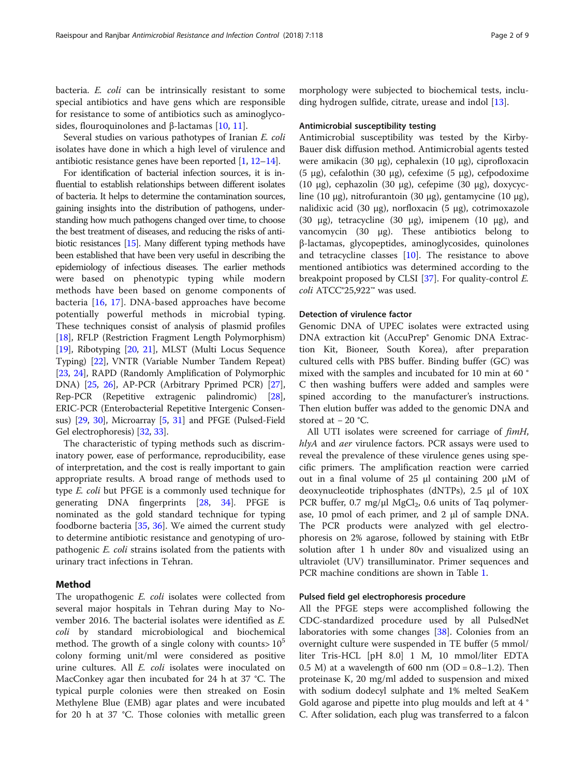bacteria. E. coli can be intrinsically resistant to some special antibiotics and have gens which are responsible for resistance to some of antibiotics such as aminoglycosides, flouroquinolones and β-lactamas [\[10](#page-7-0), [11](#page-7-0)].

Several studies on various pathotypes of Iranian E. coli isolates have done in which a high level of virulence and antibiotic resistance genes have been reported [[1,](#page-7-0) [12](#page-7-0)–[14](#page-7-0)].

For identification of bacterial infection sources, it is influential to establish relationships between different isolates of bacteria. It helps to determine the contamination sources, gaining insights into the distribution of pathogens, understanding how much pathogens changed over time, to choose the best treatment of diseases, and reducing the risks of antibiotic resistances [\[15](#page-7-0)]. Many different typing methods have been established that have been very useful in describing the epidemiology of infectious diseases. The earlier methods were based on phenotypic typing while modern methods have been based on genome components of bacteria [[16,](#page-7-0) [17\]](#page-7-0). DNA-based approaches have become potentially powerful methods in microbial typing. These techniques consist of analysis of plasmid profiles [[18](#page-7-0)], RFLP (Restriction Fragment Length Polymorphism) [[19](#page-7-0)], Ribotyping [[20](#page-7-0), [21](#page-7-0)], MLST (Multi Locus Sequence Typing) [\[22](#page-7-0)], VNTR (Variable Number Tandem Repeat) [[23](#page-7-0), [24\]](#page-7-0), RAPD (Randomly Amplification of Polymorphic DNA) [[25,](#page-7-0) [26\]](#page-7-0), AP-PCR (Arbitrary Pprimed PCR) [[27](#page-7-0)], Rep-PCR (Repetitive extragenic palindromic) [[28](#page-7-0)], ERIC-PCR (Enterobacterial Repetitive Intergenic Consensus) [\[29](#page-7-0), [30\]](#page-7-0), Microarray [\[5,](#page-7-0) [31\]](#page-7-0) and PFGE (Pulsed-Field Gel electrophoresis) [\[32](#page-7-0), [33](#page-7-0)].

The characteristic of typing methods such as discriminatory power, ease of performance, reproducibility, ease of interpretation, and the cost is really important to gain appropriate results. A broad range of methods used to type E. coli but PFGE is a commonly used technique for generating DNA fingerprints [[28,](#page-7-0) [34\]](#page-7-0). PFGE is nominated as the gold standard technique for typing foodborne bacteria [\[35](#page-7-0), [36](#page-7-0)]. We aimed the current study to determine antibiotic resistance and genotyping of uropathogenic E. coli strains isolated from the patients with urinary tract infections in Tehran.

#### Method

The uropathogenic *E. coli* isolates were collected from several major hospitals in Tehran during May to November 2016. The bacterial isolates were identified as E. coli by standard microbiological and biochemical method. The growth of a single colony with counts  $10<sup>5</sup>$ colony forming unit/ml were considered as positive urine cultures. All E. coli isolates were inoculated on MacConkey agar then incubated for 24 h at 37 °C. The typical purple colonies were then streaked on Eosin Methylene Blue (EMB) agar plates and were incubated for 20 h at 37 °C. Those colonies with metallic green morphology were subjected to biochemical tests, including hydrogen sulfide, citrate, urease and indol [\[13](#page-7-0)].

#### Antimicrobial susceptibility testing

Antimicrobial susceptibility was tested by the Kirby-Bauer disk diffusion method. Antimicrobial agents tested were amikacin (30 μg), cephalexin (10 μg), ciprofloxacin (5 μg), cefalothin (30 μg), cefexime (5 μg), cefpodoxime (10 μg), cephazolin (30 μg), cefepime (30 μg), doxycycline (10 μg), nitrofurantoin (30 μg), gentamycine (10 μg), nalidixic acid (30 μg), norfloxacin (5 μg), cotrimoxazole (30 μg), tetracycline (30 μg), imipenem (10 μg), and vancomycin (30 μg). These antibiotics belong to β-lactamas, glycopeptides, aminoglycosides, quinolones and tetracycline classes [[10](#page-7-0)]. The resistance to above mentioned antibiotics was determined according to the breakpoint proposed by CLSI [[37\]](#page-7-0). For quality-control E. coli ATCC®25,922™ was used.

#### Detection of virulence factor

Genomic DNA of UPEC isolates were extracted using DNA extraction kit (AccuPrep® Genomic DNA Extraction Kit, Bioneer, South Korea), after preparation cultured cells with PBS buffer. Binding buffer (GC) was mixed with the samples and incubated for 10 min at 60 ° C then washing buffers were added and samples were spined according to the manufacturer's instructions. Then elution buffer was added to the genomic DNA and stored at − 20 °C.

All UTI isolates were screened for carriage of fimH, hlyA and aer virulence factors. PCR assays were used to reveal the prevalence of these virulence genes using specific primers. The amplification reaction were carried out in a final volume of 25 μl containing 200 μM of deoxynucleotide triphosphates (dNTPs), 2.5 μl of 10X PCR buffer,  $0.7 \text{ mg/}\mu\text{l}$  MgCl<sub>2</sub>,  $0.6 \text{ units of Taq polymer-}$ ase, 10 pmol of each primer, and 2 μl of sample DNA. The PCR products were analyzed with gel electrophoresis on 2% agarose, followed by staining with EtBr solution after 1 h under 80v and visualized using an ultraviolet (UV) transilluminator. Primer sequences and PCR machine conditions are shown in Table [1](#page-2-0).

#### Pulsed field gel electrophoresis procedure

All the PFGE steps were accomplished following the CDC-standardized procedure used by all PulsedNet laboratories with some changes [\[38\]](#page-7-0). Colonies from an overnight culture were suspended in TE buffer (5 mmol/ liter Tris-HCL [pH 8.0] 1 M, 10 mmol/liter EDTA 0.5 M) at a wavelength of 600 nm (OD =  $0.8-1.2$ ). Then proteinase K, 20 mg/ml added to suspension and mixed with sodium dodecyl sulphate and 1% melted SeaKem Gold agarose and pipette into plug moulds and left at 4 ° C. After solidation, each plug was transferred to a falcon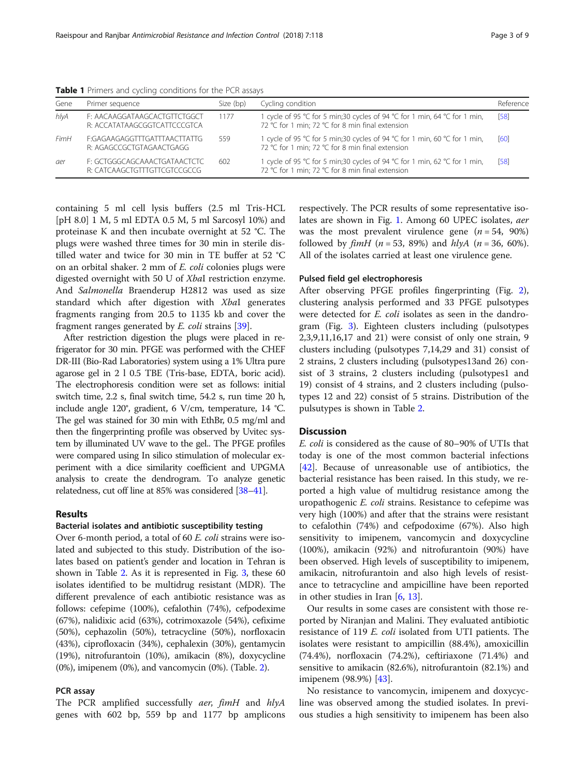| Gene | Primer sequence                                              | Size (bp) | Cycling condition                                                                                                             | Reference |
|------|--------------------------------------------------------------|-----------|-------------------------------------------------------------------------------------------------------------------------------|-----------|
| hlyA | F: AACAAGGATAAGCACTGTTCTGGCT<br>R: ACCATATAAGCGGTCATTCCCGTCA | 1177      | 1 cycle of 95 °C for 5 min;30 cycles of 94 °C for 1 min, 64 °C for 1 min,<br>72 °C for 1 min; 72 °C for 8 min final extension | [58]      |
| FimH | F:GAGAAGAGGTTTGATTTAACTTATTG<br>R: AGAGCCGCTGTAGAACTGAGG     | 559       | 1 cycle of 95 °C for 5 min;30 cycles of 94 °C for 1 min, 60 °C for 1 min,<br>72 °C for 1 min; 72 °C for 8 min final extension | [60]      |
| aer  | F: GCTGGGCAGCAAACTGATAACTCTC<br>R: CATCAAGCTGTTTGTTCGTCCGCCG | 602       | 1 cycle of 95 °C for 5 min;30 cycles of 94 °C for 1 min, 62 °C for 1 min,<br>72 °C for 1 min; 72 °C for 8 min final extension | [58]      |

<span id="page-2-0"></span>Table 1 Primers and cycling conditions for the PCR assays

containing 5 ml cell lysis buffers (2.5 ml Tris-HCL [pH 8.0] 1 M, 5 ml EDTA 0.5 M, 5 ml Sarcosyl 10%) and proteinase K and then incubate overnight at 52 °C. The plugs were washed three times for 30 min in sterile distilled water and twice for 30 min in TE buffer at 52 °C on an orbital shaker. 2 mm of E. coli colonies plugs were digested overnight with 50 U of XbaІ restriction enzyme. And Salmonella Braenderup H2812 was used as size standard which after digestion with XbaI generates fragments ranging from 20.5 to 1135 kb and cover the fragment ranges generated by E. coli strains [[39](#page-7-0)].

After restriction digestion the plugs were placed in refrigerator for 30 min. PFGE was performed with the CHEF DR-III (Bio-Rad Laboratories) system using a 1% Ultra pure agarose gel in 2 l 0.5 TBE (Tris-base, EDTA, boric acid). The electrophoresis condition were set as follows: initial switch time, 2.2 s, final switch time, 54.2 s, run time 20 h, include angle 120°, gradient, 6 V/cm, temperature, 14 °C. The gel was stained for 30 min with EthBr, 0.5 mg/ml and then the fingerprinting profile was observed by Uvitec system by illuminated UV wave to the gel.. The PFGE profiles were compared using In silico stimulation of molecular experiment with a dice similarity coefficient and UPGMA analysis to create the dendrogram. To analyze genetic relatedness, cut off line at 85% was considered [\[38](#page-7-0)–[41\]](#page-8-0).

#### Results

#### Bacterial isolates and antibiotic susceptibility testing

Over 6-month period, a total of 60 E. coli strains were isolated and subjected to this study. Distribution of the isolates based on patient's gender and location in Tehran is shown in Table [2.](#page-3-0) As it is represented in Fig. [3,](#page-6-0) these 60 isolates identified to be multidrug resistant (MDR). The different prevalence of each antibiotic resistance was as follows: cefepime (100%), cefalothin (74%), cefpodexime (67%), nalidixic acid (63%), cotrimoxazole (54%), cefixime (50%), cephazolin (50%), tetracycline (50%), norfloxacin (43%), ciprofloxacin (34%), cephalexin (30%), gentamycin (19%), nitrofurantoin (10%), amikacin (8%), doxycycline (0%), imipenem (0%), and vancomycin (0%). (Table. [2](#page-3-0)).

#### PCR assay

The PCR amplified successfully *aer*, *fimH* and *hlyA* genes with 602 bp, 559 bp and 1177 bp amplicons

respectively. The PCR results of some representative isolates are shown in Fig. [1.](#page-4-0) Among 60 UPEC isolates, aer was the most prevalent virulence gene  $(n = 54, 90\%)$ followed by  $f_{im}H$  ( $n = 53$ , 89%) and  $h/vA$  ( $n = 36$ , 60%). All of the isolates carried at least one virulence gene.

#### Pulsed field gel electrophoresis

After observing PFGE profiles fingerprinting (Fig. [2](#page-5-0)), clustering analysis performed and 33 PFGE pulsotypes were detected for *E. coli* isolates as seen in the dandrogram (Fig. [3\)](#page-6-0). Eighteen clusters including (pulsotypes 2,3,9,11,16,17 and 21) were consist of only one strain, 9 clusters including (pulsotypes 7,14,29 and 31) consist of 2 strains, 2 clusters including (pulsotypes13and 26) consist of 3 strains, 2 clusters including (pulsotypes1 and 19) consist of 4 strains, and 2 clusters including (pulsotypes 12 and 22) consist of 5 strains. Distribution of the pulsutypes is shown in Table [2](#page-3-0).

#### **Discussion**

E. coli is considered as the cause of 80–90% of UTIs that today is one of the most common bacterial infections [[42\]](#page-8-0). Because of unreasonable use of antibiotics, the bacterial resistance has been raised. In this study, we reported a high value of multidrug resistance among the uropathogenic E. coli strains. Resistance to cefepime was very high (100%) and after that the strains were resistant to cefalothin (74%) and cefpodoxime (67%). Also high sensitivity to imipenem, vancomycin and doxycycline (100%), amikacin (92%) and nitrofurantoin (90%) have been observed. High levels of susceptibility to imipenem, amikacin, nitrofurantoin and also high levels of resistance to tetracycline and ampicilline have been reported in other studies in Iran [\[6](#page-7-0), [13](#page-7-0)].

Our results in some cases are consistent with those reported by Niranjan and Malini. They evaluated antibiotic resistance of 119 *E. coli* isolated from UTI patients. The isolates were resistant to ampicillin (88.4%), amoxicillin (74.4%), norfloxacin (74.2%), ceftiriaxone (71.4%) and sensitive to amikacin (82.6%), nitrofurantoin (82.1%) and imipenem (98.9%) [[43\]](#page-8-0).

No resistance to vancomycin, imipenem and doxycycline was observed among the studied isolates. In previous studies a high sensitivity to imipenem has been also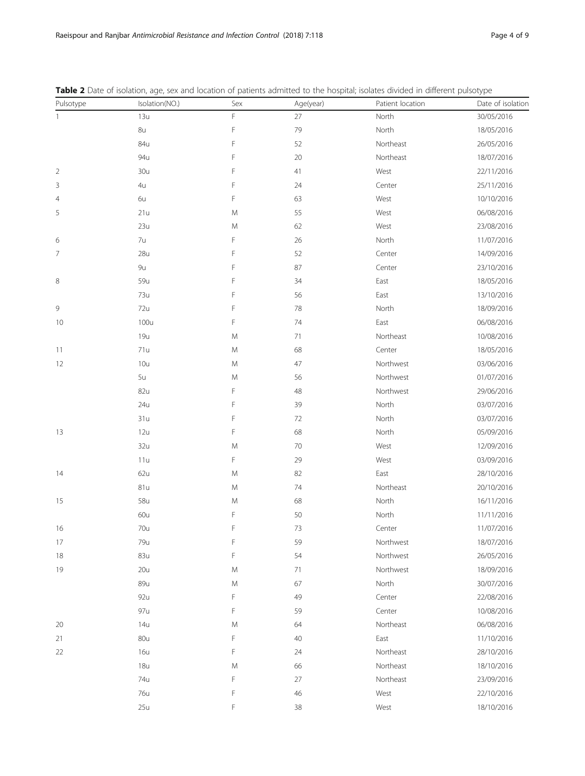| Pulsotype      | Isolation(NO.) | Sex | Age(year) | Patient location | amerers paisocype<br>Date of isolation |
|----------------|----------------|-----|-----------|------------------|----------------------------------------|
| $\mathbf{1}$   | 13u            | F   | $27\,$    | North            | 30/05/2016                             |
|                | 8u             | F   | 79        | North            | 18/05/2016                             |
|                | 84u            | F   | 52        | Northeast        | 26/05/2016                             |
|                | 94u            | F   | 20        | Northeast        | 18/07/2016                             |
| $\overline{2}$ | 30u            | F   | 41        | West             | 22/11/2016                             |
| 3              | 4u             | F   | 24        | Center           | 25/11/2016                             |
| $\overline{4}$ | 6u             | F   | 63        | West             | 10/10/2016                             |
| 5              | 21u            | M   | 55        | West             | 06/08/2016                             |
|                | 23u            | M   | 62        | West             | 23/08/2016                             |
| 6              | 7u             | F   | 26        | North            | 11/07/2016                             |
| 7              | 28u            | F   | 52        | Center           | 14/09/2016                             |
|                | 9u             | F   | 87        | Center           | 23/10/2016                             |
| 8              | 59u            | F   | 34        | East             | 18/05/2016                             |
|                | 73u            | F   | 56        | East             | 13/10/2016                             |
| 9              | 72u            | F   | 78        | North            | 18/09/2016                             |
| 10             | 100u           | F   | 74        | East             | 06/08/2016                             |
|                | 19u            | M   | 71        | Northeast        | 10/08/2016                             |
| 11             | 71u            | M   | 68        | Center           | 18/05/2016                             |
| 12             | 10u            | M   | 47        | Northwest        | 03/06/2016                             |
|                | 5u             | M   | 56        | Northwest        | 01/07/2016                             |
|                | 82u            | F   | 48        | Northwest        | 29/06/2016                             |
|                | 24u            | F   | 39        | North            | 03/07/2016                             |
|                | 31u            | F   | 72        | North            | 03/07/2016                             |
| 13             | 12u            | F   | 68        | North            | 05/09/2016                             |
|                | 32u            | M   | 70        | West             | 12/09/2016                             |
|                | 11u            | F   | 29        | West             | 03/09/2016                             |
| 14             | 62u            | M   | 82        | East             | 28/10/2016                             |
|                | 81u            | M   | 74        | Northeast        | 20/10/2016                             |
| 15             | 58u            | M   | 68        | North            | 16/11/2016                             |
|                | 60u            | F   | 50        | North            | 11/11/2016                             |
| 16             | 70u            | F   | 73        | Center           | 11/07/2016                             |
| 17             | 79u            | F   | 59        | Northwest        | 18/07/2016                             |
| 18             | 83u            | F   | 54        | Northwest        | 26/05/2016                             |
| 19             | 20u            | M   | 71        | Northwest        | 18/09/2016                             |
|                | 89u            | M   | 67        | North            | 30/07/2016                             |
|                | 92u            | F   | 49        | Center           | 22/08/2016                             |
|                | 97u            | F   | 59        | Center           | 10/08/2016                             |
| 20             | 14u            | M   | 64        | Northeast        | 06/08/2016                             |
| 21             | 80u            | F   | 40        | East             | 11/10/2016                             |
| 22             | 16u            | F   | 24        | Northeast        | 28/10/2016                             |
|                | 18u            | M   | 66        | Northeast        | 18/10/2016                             |
|                | 74u            | F   | 27        | Northeast        | 23/09/2016                             |
|                | 76u            | F   | 46        | West             | 22/10/2016                             |
|                | 25u            | F   | 38        | West             | 18/10/2016                             |

<span id="page-3-0"></span>Table 2 Date of isolation, age, sex and location of patients admitted to the hospital; isolates divided in different pulsotype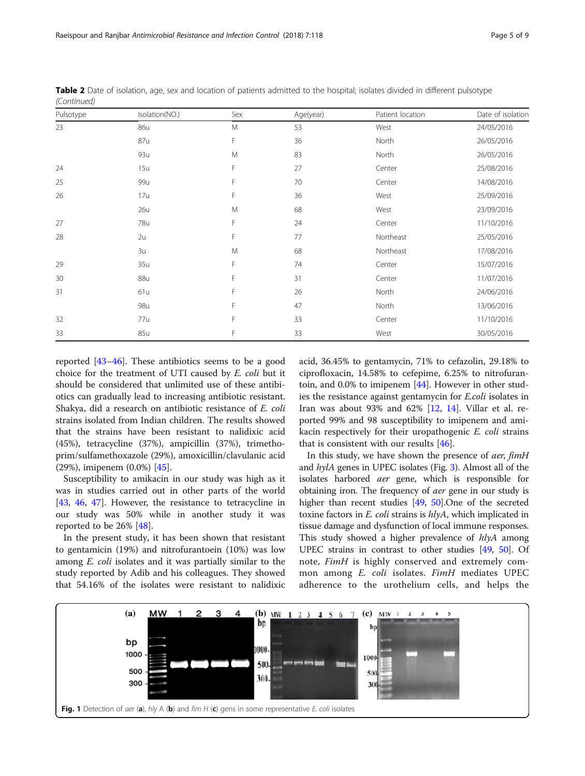| Pulsotype | Isolation(NO.) | Sex | Age(year) | Patient location | Date of isolation |
|-----------|----------------|-----|-----------|------------------|-------------------|
| 23        | 86u            | M   | 53        | West             | 24/05/2016        |
|           | 87u            | F   | 36        | North            | 26/05/2016        |
|           | 93u            | M   | 83        | North            | 26/05/2016        |
| 24        | 15u            | F   | 27        | Center           | 25/08/2016        |
| 25        | 99u            | F   | 70        | Center           | 14/08/2016        |
| 26        | 17u            | F   | 36        | West             | 25/09/2016        |
|           | 26u            | M   | 68        | West             | 23/09/2016        |
| 27        | 78u            | F   | 24        | Center           | 11/10/2016        |
| 28        | 2u             | F   | 77        | Northeast        | 25/05/2016        |
|           | 3u             | M   | 68        | Northeast        | 17/08/2016        |
| 29        | 35u            | F   | 74        | Center           | 15/07/2016        |
| 30        | 88u            | F   | 31        | Center           | 11/07/2016        |
| 31        | 61u            | F   | 26        | North            | 24/06/2016        |
|           | 98u            | F   | 47        | North            | 13/06/2016        |
| 32        | 77u            | F   | 33        | Center           | 11/10/2016        |
| 33        | 85u            | F   | 33        | West             | 30/05/2016        |

<span id="page-4-0"></span>Table 2 Date of isolation, age, sex and location of patients admitted to the hospital; isolates divided in different pulsotype (Continued)

reported [[43](#page-8-0)–[46](#page-8-0)]. These antibiotics seems to be a good choice for the treatment of UTI caused by E. coli but it should be considered that unlimited use of these antibiotics can gradually lead to increasing antibiotic resistant. Shakya, did a research on antibiotic resistance of E. coli strains isolated from Indian children. The results showed that the strains have been resistant to nalidixic acid (45%), tetracycline (37%), ampicillin (37%), trimethoprim/sulfamethoxazole (29%), amoxicillin/clavulanic acid (29%), imipenem (0.0%) [[45\]](#page-8-0).

Susceptibility to amikacin in our study was high as it was in studies carried out in other parts of the world [[43,](#page-8-0) [46](#page-8-0), [47](#page-8-0)]. However, the resistance to tetracycline in our study was 50% while in another study it was reported to be 26% [[48\]](#page-8-0).

In the present study, it has been shown that resistant to gentamicin (19%) and nitrofurantoein (10%) was low among E. coli isolates and it was partially similar to the study reported by Adib and his colleagues. They showed that 54.16% of the isolates were resistant to nalidixic acid, 36.45% to gentamycin, 71% to cefazolin, 29.18% to ciprofloxacin, 14.58% to cefepime, 6.25% to nitrofurantoin, and 0.0% to imipenem [\[44](#page-8-0)]. However in other studies the resistance against gentamycin for E.coli isolates in Iran was about 93% and 62%  $[12, 14]$  $[12, 14]$  $[12, 14]$  $[12, 14]$ . Villar et al. reported 99% and 98 susceptibility to imipenem and amikacin respectively for their uropathogenic E. coli strains that is consistent with our results [[46\]](#page-8-0).

In this study, we have shown the presence of aer, fimH and  $hylA$  genes in UPEC isolates (Fig. [3](#page-6-0)). Almost all of the isolates harbored aer gene, which is responsible for obtaining iron. The frequency of aer gene in our study is higher than recent studies [[49](#page-8-0), [50\]](#page-8-0). One of the secreted toxine factors in E. coli strains is  $hlyA$ , which implicated in tissue damage and dysfunction of local immune responses. This study showed a higher prevalence of *hlyA* among UPEC strains in contrast to other studies [\[49,](#page-8-0) [50\]](#page-8-0). Of note, FimH is highly conserved and extremely common among E. coli isolates. FimH mediates UPEC adherence to the urothelium cells, and helps the

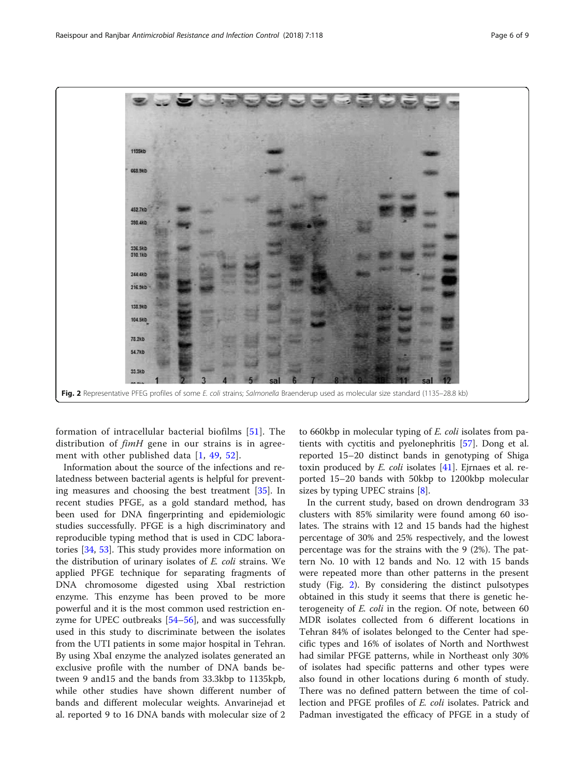<span id="page-5-0"></span>

formation of intracellular bacterial biofilms [[51](#page-8-0)]. The distribution of  $f$ *imH* gene in our strains is in agree-ment with other published data [[1](#page-7-0), [49,](#page-8-0) [52\]](#page-8-0).

Information about the source of the infections and relatedness between bacterial agents is helpful for preventing measures and choosing the best treatment [\[35](#page-7-0)]. In recent studies PFGE, as a gold standard method, has been used for DNA fingerprinting and epidemiologic studies successfully. PFGE is a high discriminatory and reproducible typing method that is used in CDC laboratories [[34,](#page-7-0) [53\]](#page-8-0). This study provides more information on the distribution of urinary isolates of E. coli strains. We applied PFGE technique for separating fragments of DNA chromosome digested using XbaІ restriction enzyme. This enzyme has been proved to be more powerful and it is the most common used restriction enzyme for UPEC outbreaks [\[54](#page-8-0)–[56](#page-8-0)], and was successfully used in this study to discriminate between the isolates from the UTI patients in some major hospital in Tehran. By using XbaІ enzyme the analyzed isolates generated an exclusive profile with the number of DNA bands between 9 and15 and the bands from 33.3kbp to 1135kpb, while other studies have shown different number of bands and different molecular weights. Anvarinejad et al. reported 9 to 16 DNA bands with molecular size of 2

to 660kbp in molecular typing of E. coli isolates from patients with cyctitis and pyelonephritis [\[57](#page-8-0)]. Dong et al. reported 15–20 distinct bands in genotyping of Shiga toxin produced by  $E.$  coli isolates  $[41]$  $[41]$ . Ejrnaes et al. reported 15–20 bands with 50kbp to 1200kbp molecular sizes by typing UPEC strains [\[8\]](#page-7-0).

In the current study, based on drown dendrogram 33 clusters with 85% similarity were found among 60 isolates. The strains with 12 and 15 bands had the highest percentage of 30% and 25% respectively, and the lowest percentage was for the strains with the 9 (2%). The pattern No. 10 with 12 bands and No. 12 with 15 bands were repeated more than other patterns in the present study (Fig. 2). By considering the distinct pulsotypes obtained in this study it seems that there is genetic heterogeneity of E. coli in the region. Of note, between 60 MDR isolates collected from 6 different locations in Tehran 84% of isolates belonged to the Center had specific types and 16% of isolates of North and Northwest had similar PFGE patterns, while in Northeast only 30% of isolates had specific patterns and other types were also found in other locations during 6 month of study. There was no defined pattern between the time of collection and PFGE profiles of E. coli isolates. Patrick and Padman investigated the efficacy of PFGE in a study of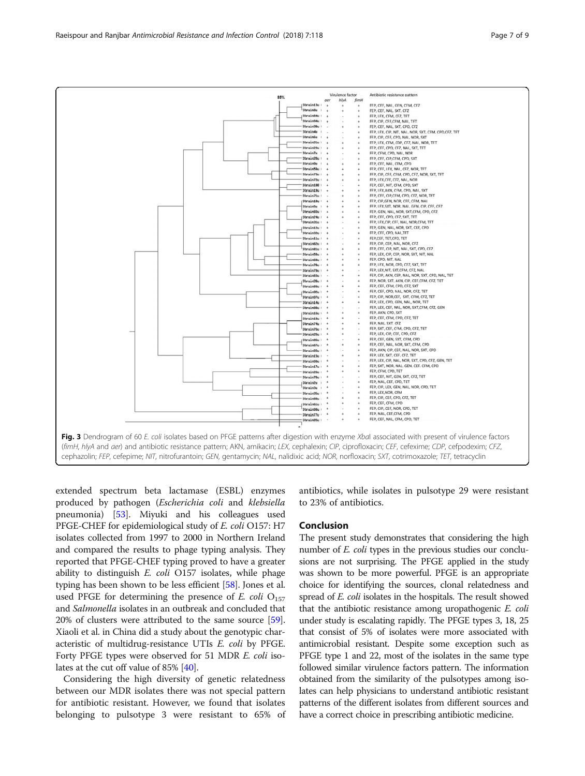<span id="page-6-0"></span>

extended spectrum beta lactamase (ESBL) enzymes produced by pathogen (Escherichia coli and klebsiella pneumonia) [\[53\]](#page-8-0). Miyuki and his colleagues used PFGE-CHEF for epidemiological study of E. coli O157: H7 isolates collected from 1997 to 2000 in Northern Ireland and compared the results to phage typing analysis. They reported that PFGE-CHEF typing proved to have a greater ability to distinguish  $E.$   $coll$  O157 isolates, while phage typing has been shown to be less efficient [\[58](#page-8-0)]. Jones et al. used PFGE for determining the presence of E. coli  $O_{157}$ and Salmonella isolates in an outbreak and concluded that 20% of clusters were attributed to the same source [[59](#page-8-0)]. Xiaoli et al. in China did a study about the genotypic characteristic of multidrug-resistance UTIs E. coli by PFGE. Forty PFGE types were observed for 51 MDR E. coli isolates at the cut off value of 85% [\[40\]](#page-8-0).

Considering the high diversity of genetic relatedness between our MDR isolates there was not special pattern for antibiotic resistant. However, we found that isolates belonging to pulsotype 3 were resistant to 65% of antibiotics, while isolates in pulsotype 29 were resistant to 23% of antibiotics.

#### Conclusion

The present study demonstrates that considering the high number of *E. coli* types in the previous studies our conclusions are not surprising. The PFGE applied in the study was shown to be more powerful. PFGE is an appropriate choice for identifying the sources, clonal relatedness and spread of *E. coli* isolates in the hospitals. The result showed that the antibiotic resistance among uropathogenic E. coli under study is escalating rapidly. The PFGE types 3, 18, 25 that consist of 5% of isolates were more associated with antimicrobial resistant. Despite some exception such as PFGE type 1 and 22, most of the isolates in the same type followed similar virulence factors pattern. The information obtained from the similarity of the pulsotypes among isolates can help physicians to understand antibiotic resistant patterns of the different isolates from different sources and have a correct choice in prescribing antibiotic medicine.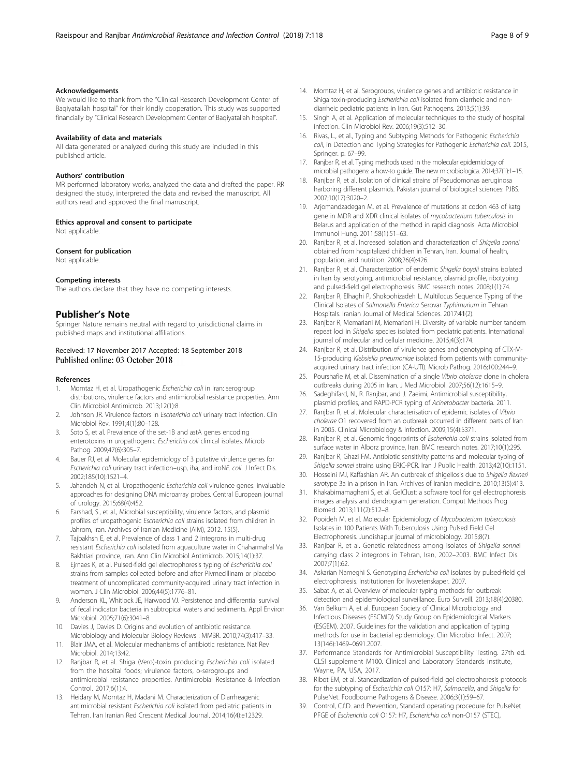#### <span id="page-7-0"></span>Acknowledgements

We would like to thank from the "Clinical Research Development Center of Baqiyatallah hospital" for their kindly cooperation. This study was supported financially by "Clinical Research Development Center of Baqiyatallah hospital".

#### Availability of data and materials

All data generated or analyzed during this study are included in this published article.

#### Authors' contribution

MR performed laboratory works, analyzed the data and drafted the paper. RR designed the study, interpreted the data and revised the manuscript. All authors read and approved the final manuscript.

#### Ethics approval and consent to participate

Not applicable.

#### Consent for publication

Not applicable.

#### Competing interests

The authors declare that they have no competing interests.

#### Publisher's Note

Springer Nature remains neutral with regard to jurisdictional claims in published maps and institutional affiliations.

#### Received: 17 November 2017 Accepted: 18 September 2018 Published online: 03 October 2018

#### References

- 1. Momtaz H, et al. Uropathogenic Escherichia coli in Iran: serogroup distributions, virulence factors and antimicrobial resistance properties. Ann Clin Microbiol Antimicrob. 2013;12(1):8.
- 2. Johnson JR. Virulence factors in Escherichia coli urinary tract infection. Clin Microbiol Rev. 1991;4(1):80–128.
- Soto S, et al. Prevalence of the set-1B and astA genes encoding enterotoxins in uropathogenic Escherichia coli clinical isolates. Microb Pathog. 2009;47(6):305-7.
- 4. Bauer RJ, et al. Molecular epidemiology of 3 putative virulence genes for Escherichia coli urinary tract infection–usp, iha, and iroNE. coli. J Infect Dis. 2002;185(10):1521–4.
- 5. Jahandeh N, et al. Uropathogenic Escherichia coli virulence genes: invaluable approaches for designing DNA microarray probes. Central European journal of urology. 2015;68(4):452.
- 6. Farshad, S., et al., Microbial susceptibility, virulence factors, and plasmid profiles of uropathogenic Escherichia coli strains isolated from children in Jahrom, Iran. Archives of Iranian Medicine (AIM), 2012. 15(5).
- 7. Tajbakhsh E, et al. Prevalence of class 1 and 2 integrons in multi-drug resistant Escherichia coli isolated from aquaculture water in Chaharmahal Va Bakhtiari province, Iran. Ann Clin Microbiol Antimicrob. 2015;14(1):37.
- 8. Ejrnaes K, et al. Pulsed-field gel electrophoresis typing of Escherichia coli strains from samples collected before and after Pivmecillinam or placebo treatment of uncomplicated community-acquired urinary tract infection in women. J Clin Microbiol. 2006;44(5):1776–81.
- Anderson KL, Whitlock JE, Harwood VJ. Persistence and differential survival of fecal indicator bacteria in subtropical waters and sediments. Appl Environ Microbiol. 2005;71(6):3041–8.
- 10. Davies J, Davies D. Origins and evolution of antibiotic resistance. Microbiology and Molecular Biology Reviews : MMBR. 2010;74(3):417–33.
- 11. Blair JMA, et al. Molecular mechanisms of antibiotic resistance. Nat Rev Microbiol. 2014;13:42.
- 12. Ranjbar R, et al. Shiga (Vero)-toxin producing Escherichia coli isolated from the hospital foods; virulence factors, o-serogroups and antimicrobial resistance properties. Antimicrobial Resistance & Infection Control. 2017;6(1):4.
- 13. Heidary M, Momtaz H, Madani M. Characterization of Diarrheagenic antimicrobial resistant Escherichia coli isolated from pediatric patients in Tehran. Iran Iranian Red Crescent Medical Journal. 2014;16(4):e12329.
- 14. Momtaz H, et al. Serogroups, virulence genes and antibiotic resistance in Shiga toxin-producing Escherichia coli isolated from diarrheic and nondiarrheic pediatric patients in Iran. Gut Pathogens. 2013;5(1):39.
- 15. Singh A, et al. Application of molecular techniques to the study of hospital infection. Clin Microbiol Rev. 2006;19(3):512–30.
- 16. Rivas, L., et al., Typing and Subtyping Methods for Pathogenic Escherichia coli, in Detection and Typing Strategies for Pathogenic Escherichia coli. 2015, Springer. p. 67–99.
- 17. Ranjbar R, et al. Typing methods used in the molecular epidemiology of microbial pathogens: a how-to guide. The new microbiologica. 2014;37(1):1–15.
- 18. Ranjbar R, et al. Isolation of clinical strains of Pseudomonas aeruginosa harboring different plasmids. Pakistan journal of biological sciences: PJBS. 2007;10(17):3020–2.
- 19. Arjomandzadegan M, et al. Prevalence of mutations at codon 463 of katg gene in MDR and XDR clinical isolates of mycobacterium tuberculosis in Belarus and application of the method in rapid diagnosis. Acta Microbiol Immunol Hung. 2011;58(1):51–63.
- 20. Ranjbar R, et al. Increased isolation and characterization of Shigella sonnei obtained from hospitalized children in Tehran, Iran. Journal of health, population, and nutrition. 2008;26(4):426.
- 21. Ranjbar R, et al. Characterization of endemic Shigella boydii strains isolated in Iran by serotyping, antimicrobial resistance, plasmid profile, ribotyping and pulsed-field gel electrophoresis. BMC research notes. 2008;1(1):74.
- 22. Ranjbar R, Elhaghi P, Shokoohizadeh L. Multilocus Sequence Typing of the Clinical Isolates of Salmonella Enterica Serovar Typhimurium in Tehran Hospitals. Iranian Journal of Medical Sciences. 2017:41(2).
- 23. Ranjbar R, Memariani M, Memariani H. Diversity of variable number tandem repeat loci in Shigella species isolated from pediatric patients. International journal of molecular and cellular medicine. 2015;4(3):174.
- 24. Ranjbar R, et al. Distribution of virulence genes and genotyping of CTX-M-15-producing Klebsiella pneumoniae isolated from patients with communityacquired urinary tract infection (CA-UTI). Microb Pathog. 2016;100:244–9.
- 25. Pourshafie M, et al. Dissemination of a single Vibrio cholerae clone in cholera outbreaks during 2005 in Iran. J Med Microbiol. 2007;56(12):1615–9.
- 26. Sadeghifard, N., R. Ranjbar, and J. Zaeimi, Antimicrobial susceptibility, plasmid profiles, and RAPD-PCR typing of Acinetobacter bacteria. 2011.
- 27. Ranjbar R, et al. Molecular characterisation of epidemic isolates of Vibrio cholerae O1 recovered from an outbreak occurred in different parts of Iran in 2005. Clinical Microbiology & Infection. 2009;15(4):S371.
- 28. Ranjbar R, et al. Genomic fingerprints of Escherichia coli strains isolated from surface water in Alborz province, Iran. BMC research notes. 2017;10(1):295.
- 29. Ranjbar R, Ghazi FM. Antibiotic sensitivity patterns and molecular typing of Shigella sonnei strains using ERIC-PCR. Iran J Public Health. 2013;42(10):1151.
- 30. Hosseini MJ, Kaffashian AR. An outbreak of shigellosis due to Shigella flexneri serotype 3a in a prison in Iran. Archives of Iranian medicine. 2010;13(5):413.
- 31. Khakabimamaghani S, et al. GelClust: a software tool for gel electrophoresis images analysis and dendrogram generation. Comput Methods Prog Biomed. 2013;111(2):512–8.
- 32. Pooideh M, et al. Molecular Epidemiology of Mycobacterium tuberculosis Isolates in 100 Patients With Tuberculosis Using Pulsed Field Gel Electrophoresis. Jundishapur journal of microbiology. 2015;8(7).
- 33. Ranjbar R, et al. Genetic relatedness among isolates of Shigella sonnei carrying class 2 integrons in Tehran, Iran, 2002–2003. BMC Infect Dis. 2007;7(1):62.
- 34. Askarian Nameghi S. Genotyping Escherichia coli isolates by pulsed-field gel electrophoresis. Institutionen för livsvetenskaper. 2007.
- 35. Sabat A, et al. Overview of molecular typing methods for outbreak detection and epidemiological surveillance. Euro Surveill. 2013;18(4):20380.
- 36. Van Belkum A, et al. European Society of Clinical Microbiology and Infectious Diseases (ESCMID) Study Group on Epidemiological Markers (ESGEM). 2007. Guidelines for the validation and application of typing methods for use in bacterial epidemiology. Clin Microbiol Infect. 2007; 13(146):1469–0691.2007.
- 37. Performance Standards for Antimicrobial Susceptibility Testing. 27th ed. CLSI supplement M100. Clinical and Laboratory Standards Institute, Wayne, PA, USA, 2017.
- 38. Ribot EM, et al. Standardization of pulsed-field gel electrophoresis protocols for the subtyping of Escherichia coli O157: H7, Salmonella, and Shigella for PulseNet. Foodbourne Pathogens & Disease. 2006;3(1):59–67.
- 39. Control, C.f.D. and Prevention, Standard operating procedure for PulseNet PFGE of Escherichia coli O157: H7, Escherichia coli non-O157 (STEC),